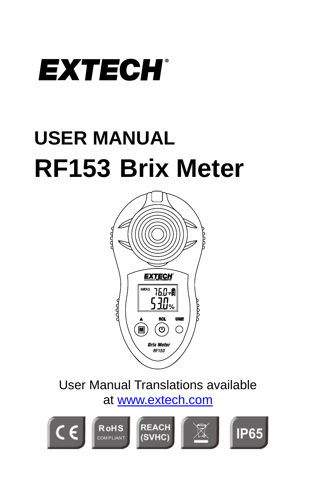

## **USER MANUAL RF153 Brix Meter**



User Manual Translations available at [www.extech.com](http://www.extech.com/)

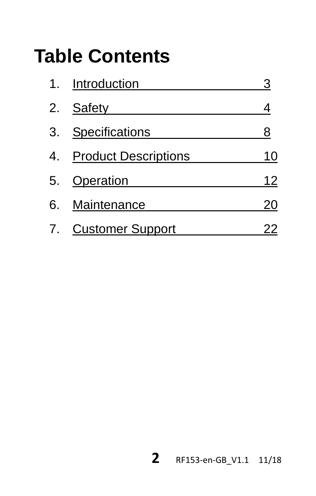## **Table Contents**

|    | 1. Introduction             |    |
|----|-----------------------------|----|
| 2. | Safety                      |    |
| 3. | Specifications              | 8  |
| 4. | <b>Product Descriptions</b> | 10 |
| 5. | Operation                   | 12 |
| 6. | Maintenance                 | 20 |
|    | 7. Customer Support         | 22 |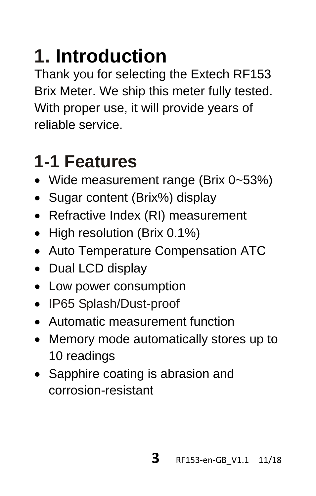## **1. Introduction**

Thank you for selecting the Extech RF153 Brix Meter. We ship this meter fully tested. With proper use, it will provide years of reliable service.

## **1-1 Features**

- Wide measurement range (Brix 0~53%)
- Sugar content (Brix%) display
- Refractive Index (RI) measurement
- High resolution (Brix 0.1%)
- Auto Temperature Compensation ATC
- Dual LCD display
- Low power consumption
- IP65 Splash/Dust-proof
- Automatic measurement function
- Memory mode automatically stores up to 10 readings
- Sapphire coating is abrasion and corrosion-resistant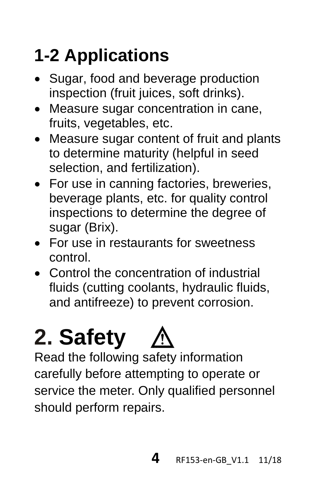## **1-2 Applications**

- Sugar, food and beverage production inspection (fruit juices, soft drinks).
- Measure sugar concentration in cane, fruits, vegetables, etc.
- Measure sugar content of fruit and plants to determine maturity (helpful in seed selection, and fertilization).
- For use in canning factories, breweries, beverage plants, etc. for quality control inspections to determine the degree of sugar (Brix).
- For use in restaurants for sweetness control.
- Control the concentration of industrial fluids (cutting coolants, hydraulic fluids, and antifreeze) to prevent corrosion.

# **2. Safety**

Read the following safety information carefully before attempting to operate or service the meter. Only qualified personnel should perform repairs.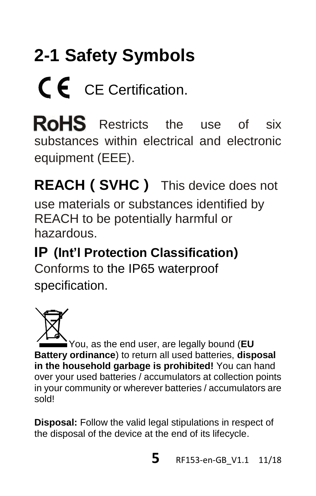# **2-1 Safety Symbols** CE Certification.

**RoHS** Restricts the use of six substances within electrical and electronic equipment (EEE).

**REACH(SVHC)** This device does not

use materials or substances identified by REACH to be potentially harmful or hazardous.

**IP (Int'l Protection Classification)** Conforms to the IP65 waterproof specification.

You, as the end user, are legally bound (**EU Battery ordinance**) to return all used batteries, **disposal in the household garbage is prohibited!** You can hand over your used batteries / accumulators at collection points in your community or wherever batteries / accumulators are sold!

**Disposal:** Follow the valid legal stipulations in respect of the disposal of the device at the end of its lifecycle.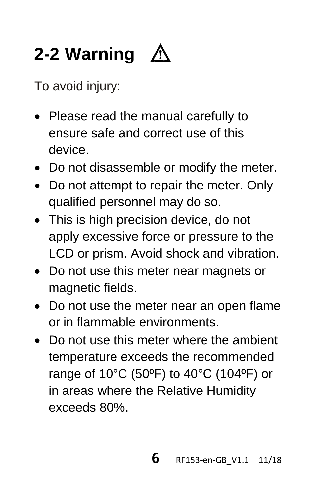## **2-2 Warning**

To avoid injury:

- Please read the manual carefully to ensure safe and correct use of this device.
- Do not disassemble or modify the meter.
- Do not attempt to repair the meter. Only qualified personnel may do so.
- This is high precision device, do not apply excessive force or pressure to the LCD or prism. Avoid shock and vibration.
- Do not use this meter near magnets or magnetic fields.
- Do not use the meter near an open flame or in flammable environments.
- Do not use this meter where the ambient temperature exceeds the recommended range of 10°C (50ºF) to 40°C (104ºF) or in areas where the Relative Humidity exceeds 80%.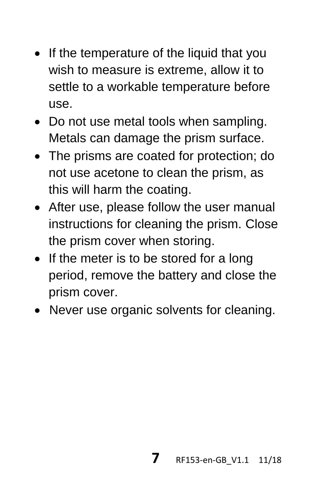- If the temperature of the liquid that you wish to measure is extreme, allow it to settle to a workable temperature before use.
- Do not use metal tools when sampling. Metals can damage the prism surface.
- The prisms are coated for protection; do not use acetone to clean the prism, as this will harm the coating.
- After use, please follow the user manual instructions for cleaning the prism. Close the prism cover when storing.
- If the meter is to be stored for a long period, remove the battery and close the prism cover.
- Never use organic solvents for cleaning.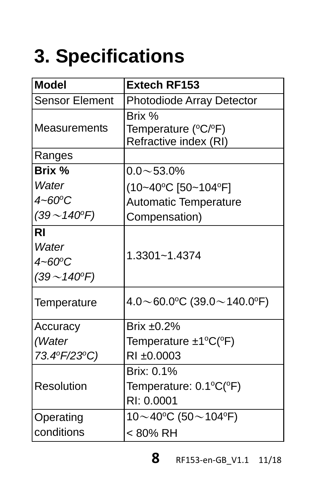## **3. Specifications**

| <b>Model</b>                                                      | Extech RF153                                                  |  |
|-------------------------------------------------------------------|---------------------------------------------------------------|--|
| <b>Sensor Element</b>                                             | Photodiode Array Detector                                     |  |
| Measurements                                                      | Brix %<br>Temperature (°C/°F)<br>Refractive index (RI)        |  |
| Ranges                                                            |                                                               |  |
| Brix %                                                            | $0.0 \sim 53.0\%$                                             |  |
| Water<br>$4 - 60^{\circ}$ C<br>$(39 - 140^{\circ}F)$              | (10~40°C [50~104°F]<br>Automatic Temperature<br>Compensation) |  |
| <b>RI</b><br>Water<br>$4 - 60^{\circ}$ C<br>$(39 - 140^{\circ}F)$ | 1.3301~1.4374                                                 |  |
| Temperature                                                       | $4.0 \sim 60.0$ °C (39.0 $\sim$ 140.0°F)                      |  |
| Accuracy                                                          | Brix ±0.2%                                                    |  |
| (Water<br>73.4ºF/23ºC)                                            | Temperature ±1°C(°F)<br>RI ±0.0003                            |  |
| Resolution                                                        | Brix: 0.1%<br>Temperature: 0.1°C(°F)<br>RI: 0.0001            |  |
| Operating                                                         | $10\!\sim\!40^{\circ}\text{C}$ (50 $\sim$ 104°F)              |  |
| conditions                                                        | < 80% RH                                                      |  |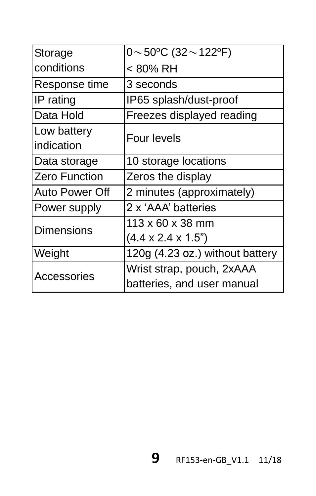| $\sqrt{0}$ ~ 50°C (32 ~ 122°F)  |  |  |
|---------------------------------|--|--|
| < 80% RH                        |  |  |
| 3 seconds                       |  |  |
| IP65 splash/dust-proof          |  |  |
| Freezes displayed reading       |  |  |
| Four levels                     |  |  |
|                                 |  |  |
| 10 storage locations            |  |  |
| Zeros the display               |  |  |
| 2 minutes (approximately)       |  |  |
| 2 x 'AAA' batteries             |  |  |
| $113 \times 60 \times 38$ mm    |  |  |
| $(4.4 \times 2.4 \times 1.5)$   |  |  |
| 120g (4.23 oz.) without battery |  |  |
| Wrist strap, pouch, 2xAAA       |  |  |
| batteries, and user manual      |  |  |
|                                 |  |  |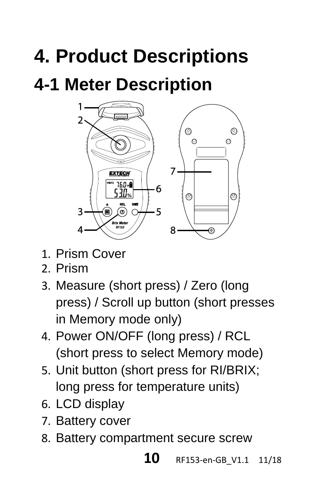## **4. Product Descriptions**

## **4-1 Meter Description**



- 1. Prism Cover
- 2. Prism
- 3. Measure (short press) / Zero (long press) / Scroll up button (short presses in Memory mode only)
- 4. Power ON/OFF (long press) / RCL (short press to select Memory mode)
- 5. Unit button (short press for RI/BRIX; long press for temperature units)
- 6. LCD display
- 7. Battery cover
- 8. Battery compartment secure screw

#### **10** RF153-en-GB\_V1.1 11/18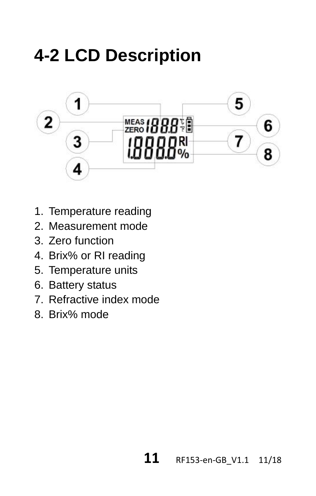## **4-2 LCD Description**



- 1. Temperature reading
- 2. Measurement mode
- 3. Zero function
- 4. Brix% or RI reading
- 5. Temperature units
- 6. Battery status
- 7. Refractive index mode
- 8. Brix% mode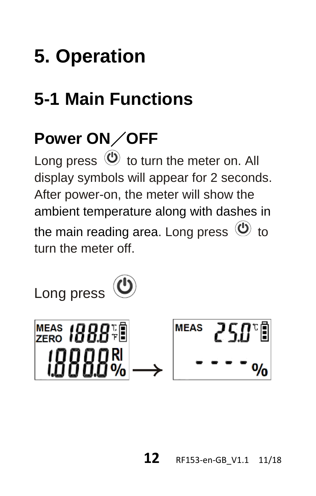## **5. Operation**

## **5-1 Main Functions**

### **Power ON**/**OFF**

Long press  $\circledcirc$  to turn the meter on. All display symbols will appear for 2 seconds. After power-on, the meter will show the ambient temperature along with dashes in the main reading area. Long press  $\mathfrak{O}$  to turn the meter off.



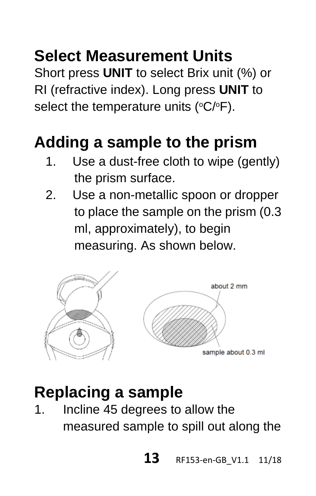### **Select Measurement Units**

Short press **UNIT** to select Brix unit (%) or RI (refractive index). Long press **UNIT** to select the temperature units ( $\rm{°C/°F}$ ).

### **Adding a sample to the prism**

- 1. Use a dust-free cloth to wipe (gently) the prism surface.
- 2. Use a non-metallic spoon or dropper to place the sample on the prism (0.3 ml, approximately), to begin measuring. As shown below.



#### **Replacing a sample**

1. Incline 45 degrees to allow the measured sample to spill out along the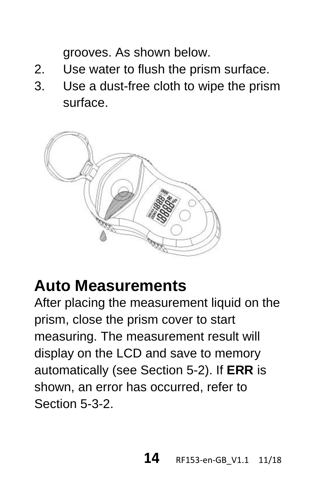grooves. As shown below.

- 2. Use water to flush the prism surface.
- 3. Use a dust-free cloth to wipe the prism surface.



#### **Auto Measurements**

After placing the measurement liquid on the prism, close the prism cover to start measuring. The measurement result will display on the LCD and save to memory automatically (see Section 5-2). If **ERR** is shown, an error has occurred, refer to Section 5-3-2.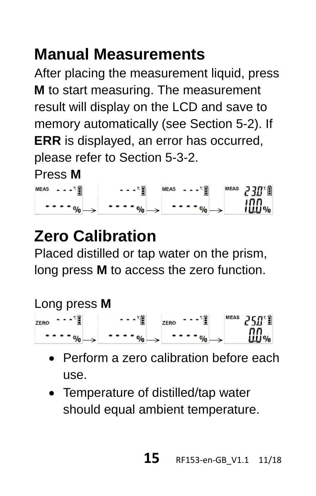### **Manual Measurements**

After placing the measurement liquid, press **M** to start measuring. The measurement result will display on the LCD and save to memory automatically (see Section 5-2). If **ERR** is displayed, an error has occurred, please refer to Section 5-3-2.

Press **M**

| ここり間<br>MEAS | $r =$ | 内蘭<br><b>MEAS</b><br>$- - -$ | <b>NEAS</b><br>130°N |
|--------------|-------|------------------------------|----------------------|
|              | ---   |                              | INN.                 |

### **Zero Calibration**

Placed distilled or tap water on the prism, long press **M** to access the zero function.

#### Long press **M**

 $ZERO$   $- - \frac{1}{2}$  $\cdots$ <sup>T</sup> $\left[ \begin{array}{c} \mathbf{z} \\ \mathbf{z} \\ \mathbf{z} \end{array} \right]$   $\left[ \begin{array}{c} \mathbf{z} \\ \mathbf{z} \\ \mathbf{z} \end{array} \right]$   $\left[ \begin{array}{c} \mathbf{z} \\ \mathbf{z} \\ \mathbf{z} \end{array} \right]$  $n_n$  $\cdots \rightarrow \rightarrow \rightarrow \rightarrow \rightarrow \rightarrow \rightarrow \rightarrow \rightarrow$ 

- Perform a zero calibration before each use.
- Temperature of distilled/tap water should equal ambient temperature.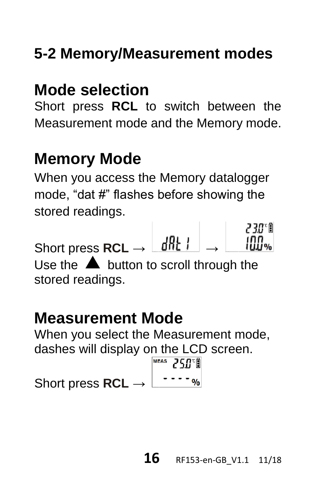### **5-2 Memory/Measurement modes**

### **Mode selection**

Short press **RCL** to switch between the Measurement mode and the Memory mode.

### **Memory Mode**

When you access the Memory datalogger mode, "dat #" flashes before showing the stored readings.

Short press **RCL** → →

Use the  $\triangle$  button to scroll through the stored readings.

#### **Measurement Mode**

When you select the Measurement mode, dashes will display on the LCD screen.<br>  $\frac{1}{\sqrt{5}}$  750°

Short press **RCL** → L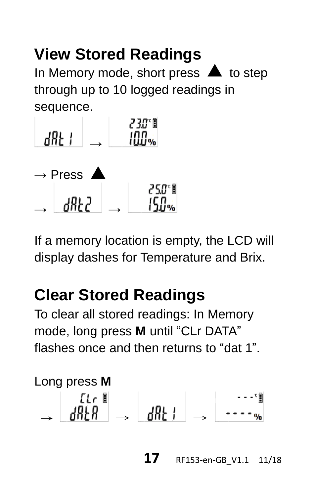### **View Stored Readings**

In Memory mode, short press  $\blacktriangle$  to step through up to 10 logged readings in sequence.



If a memory location is empty, the LCD will display dashes for Temperature and Brix.

### **Clear Stored Readings**

To clear all stored readings: In Memory mode, long press **M** until "CLr DATA" flashes once and then returns to "dat 1"



 **17** RF153-en-GB\_V1.1 11/18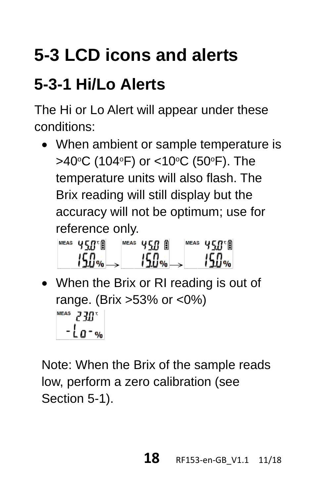## **5-3 LCD icons and alerts**

### **5-3-1 Hi/Lo Alerts**

The Hi or Lo Alert will appear under these conditions:

• When ambient or sample temperature is >40°C (104°F) or <10°C (50°F). The temperature units will also flash. The Brix reading will still display but the accuracy will not be optimum; use for reference only.

| MEAS | 58°N  | <b>MEAS</b> | A<br>ςп | <b>NEAS</b> | 150 A |
|------|-------|-------------|---------|-------------|-------|
|      | 150ac |             | $150 -$ |             | 15.O% |

• When the Brix or RI reading is out of range. (Brix >53% or <0%) MEAS  $230$ <sup>T</sup>  $-la - w_0$ 

Note: When the Brix of the sample reads low, perform a zero calibration (see Section 5-1).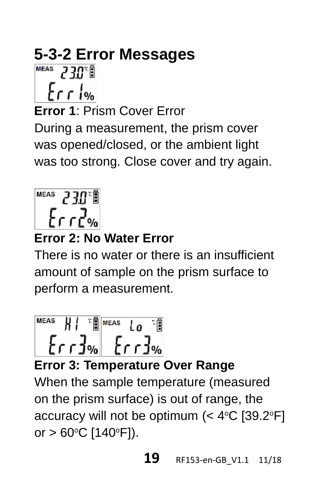# **5-3-2 Error Messages**

 $frac$ 

**Error 1**: Prism Cover Error

During a measurement, the prism cover was opened/closed, or the ambient light was too strong. Close cover and try again.



#### **Error 2: No Water Error**

There is no water or there is an insufficient amount of sample on the prism surface to perform a measurement.

$$
\begin{array}{c|c}\n\text{Meas} & H & \text{if } \text{Meas} & \text{To} \\
\hline\n\text{For } 3\% & \text{For } 3\% \\
\end{array}
$$

**Error 3: Temperature Over Range**

When the sample temperature (measured on the prism surface) is out of range, the accuracy will not be optimum (< 4°C [39.2°F] or  $> 60^{\circ}$ C [140 $^{\circ}$ F]).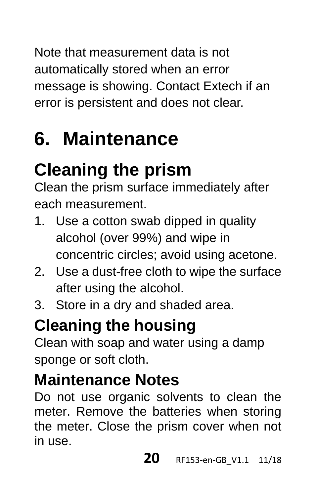Note that measurement data is not automatically stored when an error message is showing. Contact Extech if an error is persistent and does not clear.

## **6. Maintenance**

## **Cleaning the prism**

Clean the prism surface immediately after each measurement.

- 1. Use a cotton swab dipped in quality alcohol (over 99%) and wipe in concentric circles; avoid using acetone.
- 2. Use a dust-free cloth to wipe the surface after using the alcohol.
- 3. Store in a dry and shaded area.

### **Cleaning the housing**

Clean with soap and water using a damp sponge or soft cloth.

### **Maintenance Notes**

Do not use organic solvents to clean the meter. Remove the batteries when storing the meter. Close the prism cover when not in use.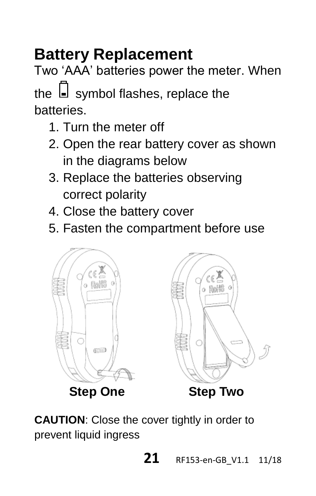### **Battery Replacement**

Two 'AAA' batteries power the meter. When the  $\Box$  symbol flashes, replace the batteries.

- 1. Turn the meter off
- 2. Open the rear battery cover as shown in the diagrams below
- 3. Replace the batteries observing correct polarity
- 4. Close the battery cover
- 5. Fasten the compartment before use



**CAUTION**: Close the cover tightly in order to prevent liquid ingress